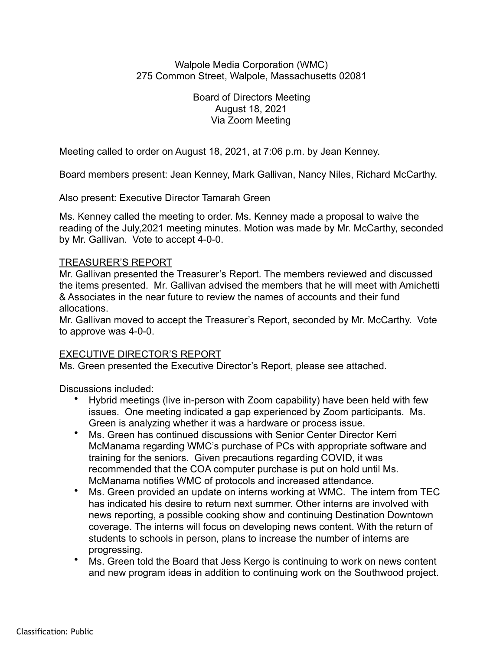## Walpole Media Corporation (WMC) 275 Common Street, Walpole, Massachusetts 02081

Board of Directors Meeting August 18, 2021 Via Zoom Meeting

Meeting called to order on August 18, 2021, at 7:06 p.m. by Jean Kenney.

Board members present: Jean Kenney, Mark Gallivan, Nancy Niles, Richard McCarthy.

Also present: Executive Director Tamarah Green

Ms. Kenney called the meeting to order. Ms. Kenney made a proposal to waive the reading of the July,2021 meeting minutes. Motion was made by Mr. McCarthy, seconded by Mr. Gallivan. Vote to accept 4-0-0.

# TREASURER'S REPORT

Mr. Gallivan presented the Treasurer's Report. The members reviewed and discussed the items presented. Mr. Gallivan advised the members that he will meet with Amichetti & Associates in the near future to review the names of accounts and their fund allocations.

Mr. Gallivan moved to accept the Treasurer's Report, seconded by Mr. McCarthy. Vote to approve was 4-0-0.

# EXECUTIVE DIRECTOR'S REPORT

Ms. Green presented the Executive Director's Report, please see attached.

Discussions included:

- Hybrid meetings (live in-person with Zoom capability) have been held with few issues. One meeting indicated a gap experienced by Zoom participants. Ms. Green is analyzing whether it was a hardware or process issue.
- Ms. Green has continued discussions with Senior Center Director Kerri McManama regarding WMC's purchase of PCs with appropriate software and training for the seniors. Given precautions regarding COVID, it was recommended that the COA computer purchase is put on hold until Ms. McManama notifies WMC of protocols and increased attendance.
- Ms. Green provided an update on interns working at WMC. The intern from TEC has indicated his desire to return next summer. Other interns are involved with news reporting, a possible cooking show and continuing Destination Downtown coverage. The interns will focus on developing news content. With the return of students to schools in person, plans to increase the number of interns are progressing.
- Ms. Green told the Board that Jess Kergo is continuing to work on news content and new program ideas in addition to continuing work on the Southwood project.